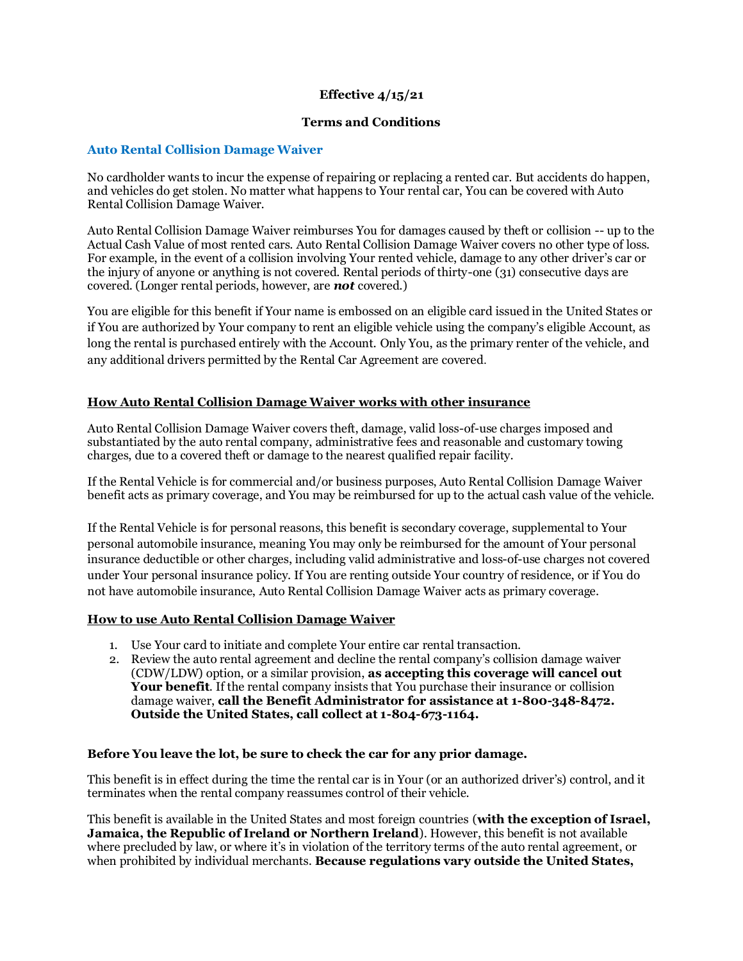# **Effective 4/15/21**

### **Terms and Conditions**

### **Auto Rental Collision Damage Waiver**

No cardholder wants to incur the expense of repairing or replacing a rented car. But accidents do happen, and vehicles do get stolen. No matter what happens to Your rental car, You can be covered with Auto Rental Collision Damage Waiver.

Auto Rental Collision Damage Waiver reimburses You for damages caused by theft or collision -- up to the Actual Cash Value of most rented cars. Auto Rental Collision Damage Waiver covers no other type of loss. For example, in the event of a collision involving Your rented vehicle, damage to any other driver's car or the injury of anyone or anything is not covered. Rental periods of thirty-one (31) consecutive days are covered. (Longer rental periods, however, are *not* covered.)

You are eligible for this benefit if Your name is embossed on an eligible card issued in the United States or if You are authorized by Your company to rent an eligible vehicle using the company's eligible Account, as long the rental is purchased entirely with the Account. Only You, as the primary renter of the vehicle, and any additional drivers permitted by the Rental Car Agreement are covered.

# **How Auto Rental Collision Damage Waiver works with other insurance**

Auto Rental Collision Damage Waiver covers theft, damage, valid loss-of-use charges imposed and substantiated by the auto rental company, administrative fees and reasonable and customary towing charges, due to a covered theft or damage to the nearest qualified repair facility.

If the Rental Vehicle is for commercial and/or business purposes, Auto Rental Collision Damage Waiver benefit acts as primary coverage, and You may be reimbursed for up to the actual cash value of the vehicle.

If the Rental Vehicle is for personal reasons, this benefit is secondary coverage, supplemental to Your personal automobile insurance, meaning You may only be reimbursed for the amount of Your personal insurance deductible or other charges, including valid administrative and loss-of-use charges not covered under Your personal insurance policy. If You are renting outside Your country of residence, or if You do not have automobile insurance, Auto Rental Collision Damage Waiver acts as primary coverage.

### **How to use Auto Rental Collision Damage Waiver**

- 1. Use Your card to initiate and complete Your entire car rental transaction.
- 2. Review the auto rental agreement and decline the rental company's collision damage waiver (CDW/LDW) option, or a similar provision, **as accepting this coverage will cancel out Your benefit**. If the rental company insists that You purchase their insurance or collision damage waiver, **call the Benefit Administrator for assistance at 1-800-348-8472. Outside the United States, call collect at 1-804-673-1164.**

# **Before You leave the lot, be sure to check the car for any prior damage.**

This benefit is in effect during the time the rental car is in Your (or an authorized driver's) control, and it terminates when the rental company reassumes control of their vehicle.

This benefit is available in the United States and most foreign countries (**with the exception of Israel, Jamaica, the Republic of Ireland or Northern Ireland**). However, this benefit is not available where precluded by law, or where it's in violation of the territory terms of the auto rental agreement, or when prohibited by individual merchants. **Because regulations vary outside the United States,**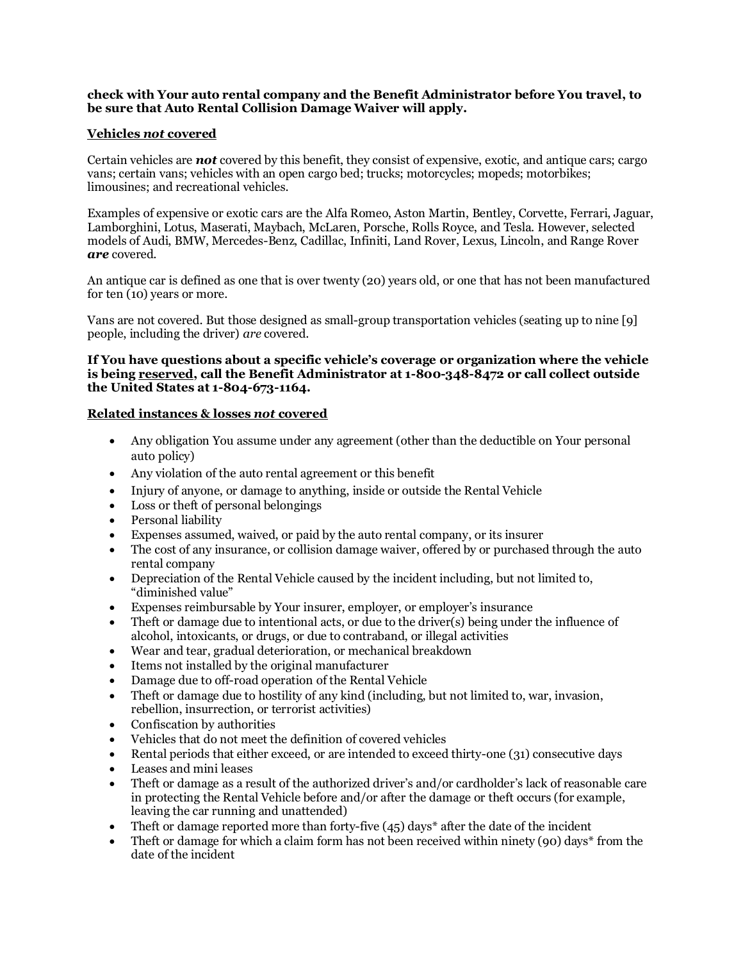### **check with Your auto rental company and the Benefit Administrator before You travel, to be sure that Auto Rental Collision Damage Waiver will apply.**

## **Vehicles** *not* **covered**

Certain vehicles are *not* covered by this benefit, they consist of expensive, exotic, and antique cars; cargo vans; certain vans; vehicles with an open cargo bed; trucks; motorcycles; mopeds; motorbikes; limousines; and recreational vehicles.

Examples of expensive or exotic cars are the Alfa Romeo, Aston Martin, Bentley, Corvette, Ferrari, Jaguar, Lamborghini, Lotus, Maserati, Maybach, McLaren, Porsche, Rolls Royce, and Tesla. However, selected models of Audi, BMW, Mercedes-Benz, Cadillac, Infiniti, Land Rover, Lexus, Lincoln, and Range Rover *are* covered.

An antique car is defined as one that is over twenty (20) years old, or one that has not been manufactured for ten (10) years or more.

Vans are not covered. But those designed as small-group transportation vehicles (seating up to nine [9] people, including the driver) *are* covered.

# **If You have questions about a specific vehicle's coverage or organization where the vehicle is being reserved, call the Benefit Administrator at 1-800-348-8472 or call collect outside the United States at 1-804-673-1164.**

# **Related instances & losses** *not* **covered**

- Any obligation You assume under any agreement (other than the deductible on Your personal auto policy)
- Any violation of the auto rental agreement or this benefit
- Injury of anyone, or damage to anything, inside or outside the Rental Vehicle
- Loss or theft of personal belongings
- Personal liability
- Expenses assumed, waived, or paid by the auto rental company, or its insurer
- The cost of any insurance, or collision damage waiver, offered by or purchased through the auto rental company
- Depreciation of the Rental Vehicle caused by the incident including, but not limited to, "diminished value"
- Expenses reimbursable by Your insurer, employer, or employer's insurance
- Theft or damage due to intentional acts, or due to the driver(s) being under the influence of alcohol, intoxicants, or drugs, or due to contraband, or illegal activities
- Wear and tear, gradual deterioration, or mechanical breakdown
- Items not installed by the original manufacturer
- Damage due to off-road operation of the Rental Vehicle
- Theft or damage due to hostility of any kind (including, but not limited to, war, invasion, rebellion, insurrection, or terrorist activities)
- Confiscation by authorities
- Vehicles that do not meet the definition of covered vehicles
- Rental periods that either exceed, or are intended to exceed thirty-one (31) consecutive days
- Leases and mini leases
- Theft or damage as a result of the authorized driver's and/or cardholder's lack of reasonable care in protecting the Rental Vehicle before and/or after the damage or theft occurs (for example, leaving the car running and unattended)
- Theft or damage reported more than forty-five  $(45)$  days\* after the date of the incident
- Theft or damage for which a claim form has not been received within ninety (90) days [\\*](#page-2-0) from the date of the incident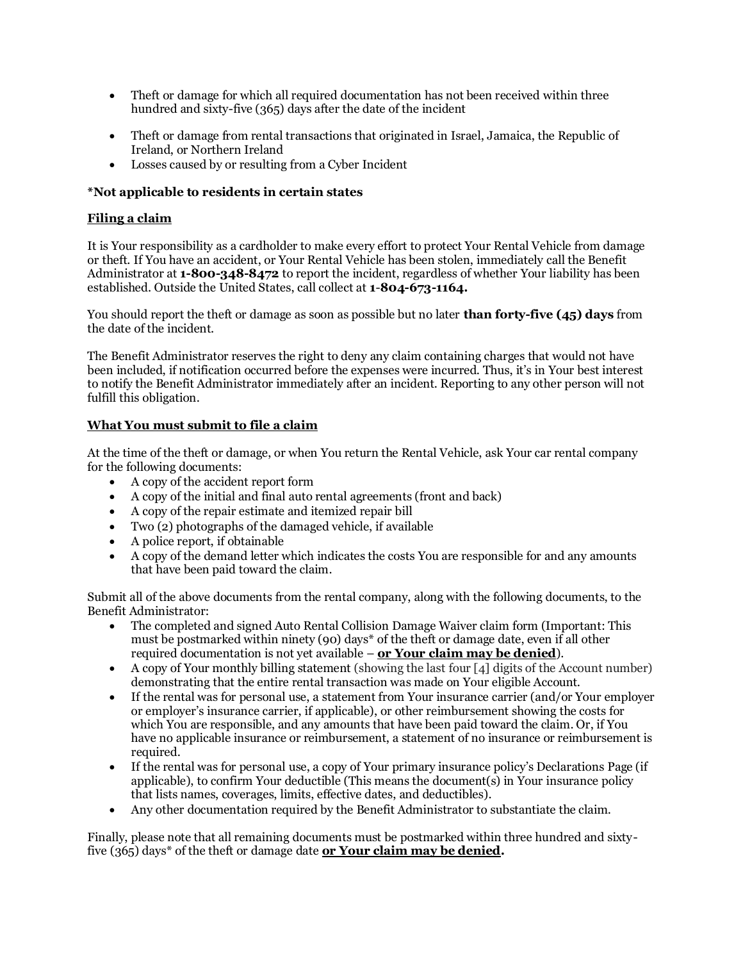- <span id="page-2-0"></span>• Theft or damage for which all required documentation has not been received within three hundred and sixty-five (365) days after the date of the incident
- Theft or damage from rental transactions that originated in Israel, Jamaica, the Republic of Ireland, or Northern Ireland
- Losses caused by or resulting from a Cyber Incident

# **\*Not applicable to residents in certain states**

# **Filing a claim**

It is Your responsibility as a cardholder to make every effort to protect Your Rental Vehicle from damage or theft. If You have an accident, or Your Rental Vehicle has been stolen, immediately call the Benefit Administrator at **1-800-348-8472** to report the incident, regardless of whether Your liability has been established. Outside the United States, call collect at **1**-**804-673-1164.**

You should report the theft or damage as soon as possible but no later **than forty-five (45) days** from the date of the incident.

The Benefit Administrator reserves the right to deny any claim containing charges that would not have been included, if notification occurred before the expenses were incurred. Thus, it's in Your best interest to notify the Benefit Administrator immediately after an incident. Reporting to any other person will not fulfill this obligation.

# **What You must submit to file a claim**

At the time of the theft or damage, or when You return the Rental Vehicle, ask Your car rental company for the following documents:

- A copy of the accident report form
- A copy of the initial and final auto rental agreements (front and back)
- A copy of the repair estimate and itemized repair bill
- Two (2) photographs of the damaged vehicle, if available
- A police report, if obtainable
- A copy of the demand letter which indicates the costs You are responsible for and any amounts that have been paid toward the claim.

Submit all of the above documents from the rental company, along with the following documents, to the Benefit Administrator:

- The completed and signed Auto Rental Collision Damage Waiver claim form (Important: This must be postmarked within ninety (90) days\* of the theft or damage date, even if all other required documentation is not yet available – **or Your claim may be denied**).
- A copy of Your monthly billing statement (showing the last four [4] digits of the Account number) demonstrating that the entire rental transaction was made on Your eligible Account.
- If the rental was for personal use, a statement from Your insurance carrier (and/or Your employer or employer's insurance carrier, if applicable), or other reimbursement showing the costs for which You are responsible, and any amounts that have been paid toward the claim. Or, if You have no applicable insurance or reimbursement, a statement of no insurance or reimbursement is required.
- If the rental was for personal use, a copy of Your primary insurance policy's Declarations Page (if applicable), to confirm Your deductible (This means the document(s) in Your insurance policy that lists names, coverages, limits, effective dates, and deductibles).
- Any other documentation required by the Benefit Administrator to substantiate the claim.

Finally, please note that all remaining documents must be postmarked within three hundred and sixtyfive (365) days<sup>\*</sup> of the theft or damage date **or Your claim may be denied.**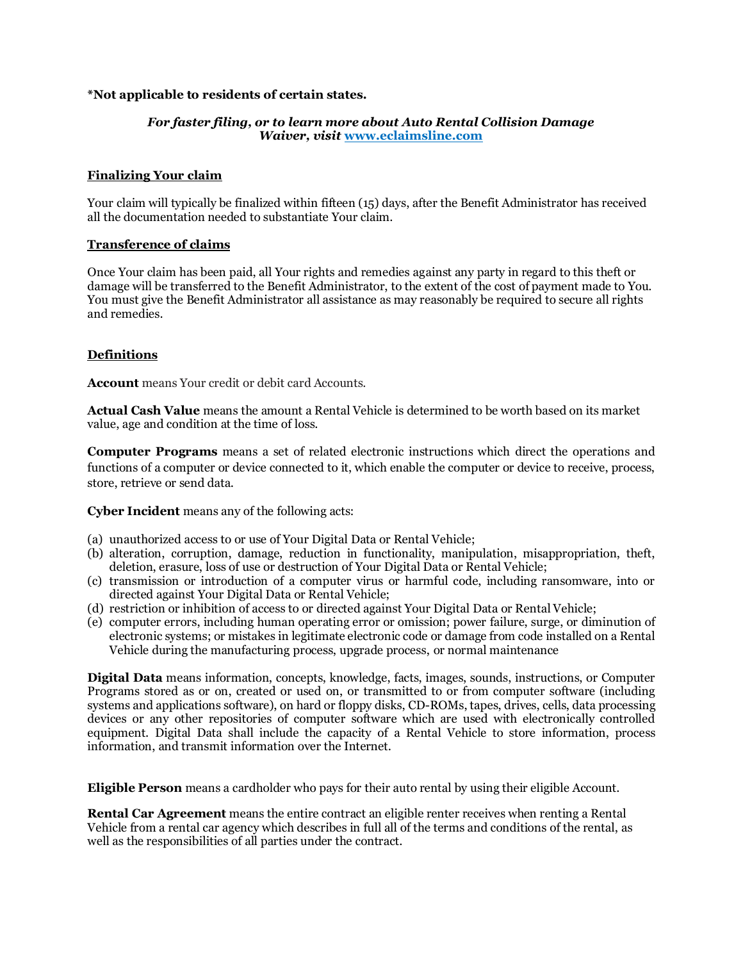# **\*Not applicable to residents of certain states.**

# *For faster filing, or to learn more about Auto Rental Collision Damage Waiver, visit* **[www.eclaimsline.com](https://www.eclaimsline.com)**

### **Finalizing Your claim**

Your claim will typically be finalized within fifteen (15) days, after the Benefit Administrator has received all the documentation needed to substantiate Your claim.

### **Transference of claims**

Once Your claim has been paid, all Your rights and remedies against any party in regard to this theft or damage will be transferred to the Benefit Administrator, to the extent of the cost of payment made to You. You must give the Benefit Administrator all assistance as may reasonably be required to secure all rights and remedies.

# **Definitions**

**Account** means Your credit or debit card Accounts.

**Actual Cash Value** means the amount a Rental Vehicle is determined to be worth based on its market value, age and condition at the time of loss.

**Computer Programs** means a set of related electronic instructions which direct the operations and functions of a computer or device connected to it, which enable the computer or device to receive, process, store, retrieve or send data.

**Cyber Incident** means any of the following acts:

- (a) unauthorized access to or use of Your Digital Data or Rental Vehicle;
- (b) alteration, corruption, damage, reduction in functionality, manipulation, misappropriation, theft, deletion, erasure, loss of use or destruction of Your Digital Data or Rental Vehicle;
- (c) transmission or introduction of a computer virus or harmful code, including ransomware, into or directed against Your Digital Data or Rental Vehicle;
- (d) restriction or inhibition of access to or directed against Your Digital Data or Rental Vehicle;
- (e) computer errors, including human operating error or omission; power failure, surge, or diminution of electronic systems; or mistakes in legitimate electronic code or damage from code installed on a Rental Vehicle during the manufacturing process, upgrade process, or normal maintenance

**Digital Data** means information, concepts, knowledge, facts, images, sounds, instructions, or Computer Programs stored as or on, created or used on, or transmitted to or from computer software (including systems and applications software), on hard or floppy disks, CD-ROMs, tapes, drives, cells, data processing devices or any other repositories of computer software which are used with electronically controlled equipment. Digital Data shall include the capacity of a Rental Vehicle to store information, process information, and transmit information over the Internet.

**Eligible Person** means a cardholder who pays for their auto rental by using their eligible Account.

**Rental Car Agreement** means the entire contract an eligible renter receives when renting a Rental Vehicle from a rental car agency which describes in full all of the terms and conditions of the rental, as well as the responsibilities of all parties under the contract.